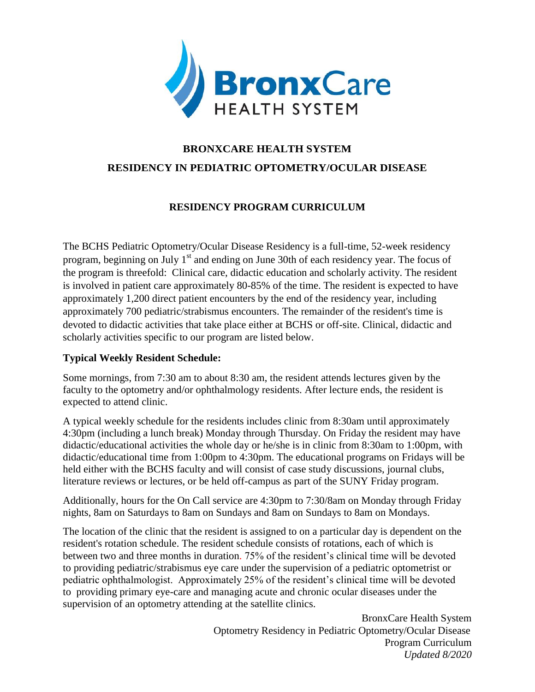

# **BRONXCARE HEALTH SYSTEM RESIDENCY IN PEDIATRIC OPTOMETRY/OCULAR DISEASE**

## **RESIDENCY PROGRAM CURRICULUM**

The BCHS Pediatric Optometry/Ocular Disease Residency is a full-time, 52-week residency program, beginning on July  $1<sup>st</sup>$  and ending on June 30th of each residency year. The focus of the program is threefold: Clinical care, didactic education and scholarly activity. The resident is involved in patient care approximately 80-85% of the time. The resident is expected to have approximately 1,200 direct patient encounters by the end of the residency year, including approximately 700 pediatric/strabismus encounters. The remainder of the resident's time is devoted to didactic activities that take place either at BCHS or off-site. Clinical, didactic and scholarly activities specific to our program are listed below.

### **Typical Weekly Resident Schedule:**

Some mornings, from 7:30 am to about 8:30 am, the resident attends lectures given by the faculty to the optometry and/or ophthalmology residents. After lecture ends, the resident is expected to attend clinic.

A typical weekly schedule for the residents includes clinic from 8:30am until approximately 4:30pm (including a lunch break) Monday through Thursday. On Friday the resident may have didactic/educational activities the whole day or he/she is in clinic from 8:30am to 1:00pm, with didactic/educational time from 1:00pm to 4:30pm. The educational programs on Fridays will be held either with the BCHS faculty and will consist of case study discussions, journal clubs, literature reviews or lectures, or be held off-campus as part of the SUNY Friday program.

Additionally, hours for the On Call service are 4:30pm to 7:30/8am on Monday through Friday nights, 8am on Saturdays to 8am on Sundays and 8am on Sundays to 8am on Mondays.

The location of the clinic that the resident is assigned to on a particular day is dependent on the resident's rotation schedule. The resident schedule consists of rotations, each of which is between two and three months in duration. 75% of the resident's clinical time will be devoted to providing pediatric/strabismus eye care under the supervision of a pediatric optometrist or pediatric ophthalmologist. Approximately 25% of the resident's clinical time will be devoted to providing primary eye-care and managing acute and chronic ocular diseases under the supervision of an optometry attending at the satellite clinics.

> BronxCare Health System Optometry Residency in Pediatric Optometry/Ocular Disease Program Curriculum *Updated 8/2020*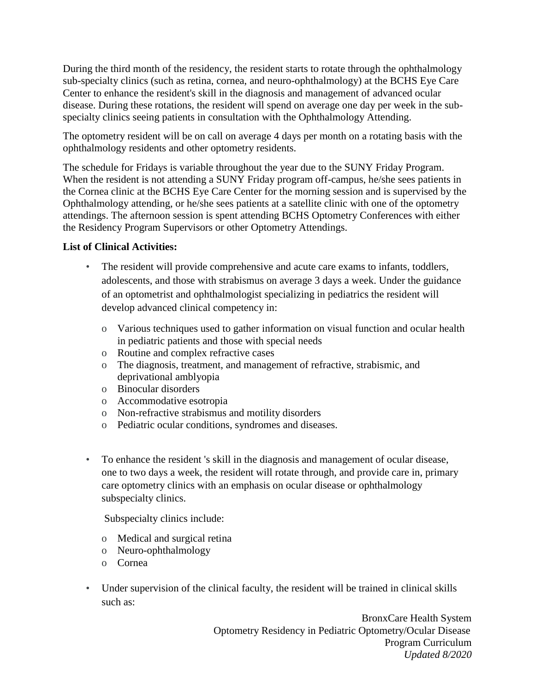During the third month of the residency, the resident starts to rotate through the ophthalmology sub-specialty clinics (such as retina, cornea, and neuro-ophthalmology) at the BCHS Eye Care Center to enhance the resident's skill in the diagnosis and management of advanced ocular disease. During these rotations, the resident will spend on average one day per week in the subspecialty clinics seeing patients in consultation with the Ophthalmology Attending.

The optometry resident will be on call on average 4 days per month on a rotating basis with the ophthalmology residents and other optometry residents.

The schedule for Fridays is variable throughout the year due to the SUNY Friday Program. When the resident is not attending a SUNY Friday program off-campus, he/she sees patients in the Cornea clinic at the BCHS Eye Care Center for the morning session and is supervised by the Ophthalmology attending, or he/she sees patients at a satellite clinic with one of the optometry attendings. The afternoon session is spent attending BCHS Optometry Conferences with either the Residency Program Supervisors or other Optometry Attendings.

### **List of Clinical Activities:**

- The resident will provide comprehensive and acute care exams to infants, toddlers, adolescents, and those with strabismus on average 3 days a week. Under the guidance of an optometrist and ophthalmologist specializing in pediatrics the resident will develop advanced clinical competency in:
	- o Various techniques used to gather information on visual function and ocular health in pediatric patients and those with special needs
	- o Routine and complex refractive cases
	- o The diagnosis, treatment, and management of refractive, strabismic, and deprivational amblyopia
	- o Binocular disorders
	- o Accommodative esotropia
	- o Non-refractive strabismus and motility disorders
	- o Pediatric ocular conditions, syndromes and diseases.
- To enhance the resident 's skill in the diagnosis and management of ocular disease, one to two days a week, the resident will rotate through, and provide care in, primary care optometry clinics with an emphasis on ocular disease or ophthalmology subspecialty clinics.

Subspecialty clinics include:

- o Medical and surgical retina
- o Neuro-ophthalmology
- o Cornea
- Under supervision of the clinical faculty, the resident will be trained in clinical skills such as:

BronxCare Health System Optometry Residency in Pediatric Optometry/Ocular Disease Program Curriculum *Updated 8/2020*